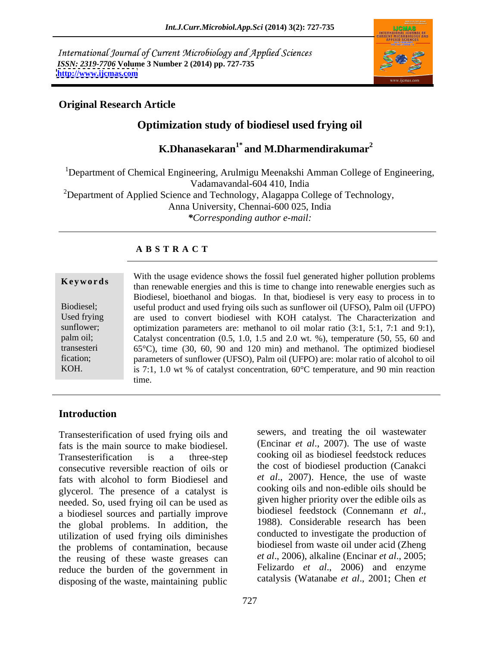International Journal of Current Microbiology and Applied Sciences *ISSN: 2319-7706* **Volume 3 Number 2 (2014) pp. 727-735 <http://www.ijcmas.com>**



### **Original Research Article**

# **Optimization study of biodiesel used frying oil**

# **K.Dhanasekaran1\* and M.Dharmendirakumar<sup>2</sup>**

<sup>1</sup>Department of Chemical Engineering, Arulmigu Meenakshi Amman College of Engineering, Vadamavandal-604 410, India <sup>2</sup>Department of Applied Science and Technology, Alagappa College of Technology, Anna University, Chennai-600 025, India *\*Corresponding author e-mail:*

### **A B S T R A C T**

**Keywords**<br>
than renewable energies and this is time to change into renewable energies such as Biodiesel; useful product and used frying oils such as sunflower oil (UFSO), Palm oil (UFPO) Used frying are used to convert biodiesel with KOH catalyst. The Characterization and sunflower; optimization parameters are: methanol to oil molar ratio (3:1, 5:1, 7:1 and 9:1), palm oil; Catalyst concentration (0.5, 1.0, 1.5 and 2.0 wt. %), temperature (50, 55, 60 and transesteri 65°C), time (30, 60, 90 and 120 min) and methanol. The optimized biodiesel fication; parameters of sunflower (UFSO), Palm oil (UFPO) are: molar ratio of alcohol to oil KOH. is 7:1, 1.0 wt % of catalyst concentration, 60°C temperature, and 90 min reaction With the usage evidence shows the fossil fuel generated higher pollution problems Biodiesel, bioethanol and biogas. In that, biodiesel is very easy to process in to time.

#### **Introduction**

Transesterification of used frying oils and fats is the main source to make biodiesel. Transesterification is a three-step cooking oil as biodiesel feedstock reduces consecutive reversible reaction of oils or fats with alcohol to form Biodiesel and et al., 2007). Hence, the use of waste glycerol. The presence of a catalyst is needed. So, used frying oil can be used as given higher priority over the edible oils as a biodiesel sources and partially improve biodiesel feedstock (Connemann *et al.*, a biodiesel sources and partially improve<br>the global problems. In addition the 1988). Considerable research has been the global problems.In addition, the utilization of used frying oils diminishes the problems of contamination, because the reusing of these waste greases can reduce the burden of the government in disposing of the waste, maintaining public

sewers, and treating the oil wastewater (Encinar *et al*., 2007). The use of waste the cost of biodiesel production (Canakci *et al*., 2007). Hence, the use of waste cooking oils and non-edible oils should be given higher priority over the edible oils as biodiesel feedstock (Connemann *et al*., 1988). Considerable research has been conducted to investigate the production of biodiesel from waste oil under acid (Zheng *et al*., 2006), alkaline (Encinar *et al*., 2005; Felizardo *et al*., 2006) and enzyme catalysis (Watanabe *et al*., 2001; Chen *et*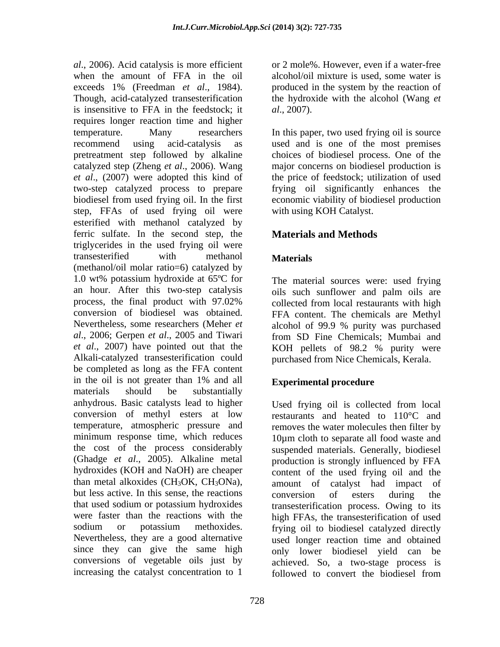*al*., 2006). Acid catalysis is more efficient when the amount of FFA in the oil exceeds 1% (Freedman *et al*., 1984). Though, acid-catalyzed transesterification the hydroxide with the alcohol (Wang *et*  is insensitive to FFA in the feedstock; it  $al., 2007$ ). requires longer reaction time and higher temperature. Many researchers In this paper, two used frying oil is source recommend using acid-catalysis as used and is one of the most premises pretreatment step followed by alkaline choices of biodiesel process. One of the catalyzed step (Zheng *et al*., 2006). Wang major concerns on biodiesel production is *et al*., (2007) were adopted this kind of the price of feedstock; utilization of used two-step catalyzed process to prepare biodiesel from used frying oil. In the first step, FFAs of used frying oil were esterified with methanol catalyzed by ferric sulfate. In the second step, the triglycerides in the used frying oil were transesterified with methanol **Materials** (methanol/oil molar ratio=6) catalyzed by 1.0 wt% potassium hydroxide at 65ºC for an hour. After this two-step catalysis oils such sunflower and palm oils are process, the final product with 97.02% collected from local restaurants with high conversion of biodiesel was obtained. FFA content. The chemicals are Methyl Nevertheless, some researchers (Meher *et* alcohol of 99.9 % purity was purchased *al*., 2006; Gerpen *et al*., 2005 and Tiwari from SD Fine Chemicals; Mumbai and *et al*., 2007) have pointed out that the Alkali-catalyzed transesterification could purchased from Nice Chemicals, Kerala. be completed as long as the FFA content in the oil is not greater than 1% and all **Experimental procedure** materials should be substantially anhydrous. Basic catalysts lead to higher Used frying oil is collected from local conversion of methyl esters at low temperature, atmospheric pressure and minimum response time, which reduces the cost of the process considerably suspended materials. Generally, biodiesel (Ghadge *et al*., 2005). Alkaline metal production is strongly influenced by FFA hydroxides (KOH and NaOH) are cheaper content of the used frying oil and the than metal alkoxides  $(CH_3OK, CH_3ONa)$ , amount of catalyst had impact of but less active. In this sense, the reactions conversion of esters during the that used sodium or potassium hydroxides transesterification process. Owing to its were faster than the reactions with the high FFAs, the transesterification of used sodium or potassium methoxides. frying oil to biodiesel catalyzed directly Nevertheless, they are a good alternative used longer reaction time and obtained since they can give the same high only lower biodiesel yield can be conversions of vegetable oils just by achieved. So, a two-stage process is

or 2 mole%. However, even if a water-free alcohol/oil mixture is used, some water is produced in the system by the reaction of

*al*., 2007).<br>In this paper, two used frying oil is source frying oil significantly enhances the economic viability of biodiesel production with using KOH Catalyst.

### **Materials and Methods**

### **Materials**

The material sources were: used frying alcohol of 99.9 % purity was purchased KOH pellets of 98.2 % purity were

### **Experimental procedure**

increasing the catalyst concentration to 1 followed to convert the biodiesel fromrestaurants and heated to 110°C and removes the water molecules then filter by 10µm cloth to separate all food waste and conversion of esters during the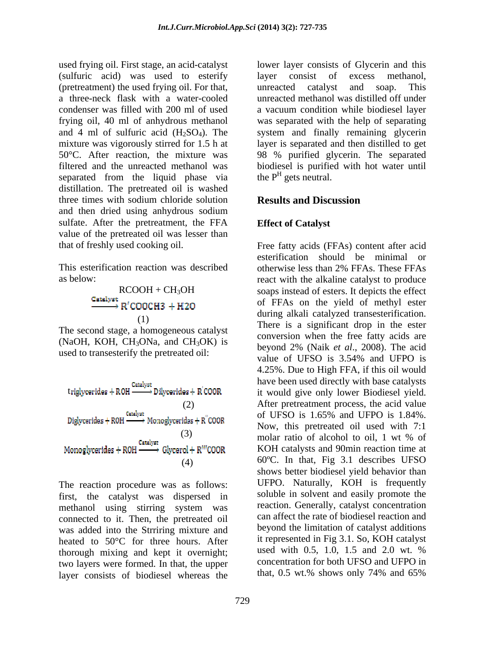used frying oil. First stage, an acid-catalyst lower layer consists of Glycerin and this (sulfuric acid) was used to esterify layer consist of excess methanol, (pretreatment) the used frying oil. For that, a three-neck flask with a water-cooled unreacted methanol was distilled off under condenser was filled with 200 ml of used a vacuum condition while biodiesel layer frying oil, 40 ml of anhydrous methanol and 4 ml of sulfuric acid  $(H_2SO_4)$ . The mixture was vigorously stirred for 1.5 h at layer is separated and then distilled to get 50°C. After reaction, the mixture was 98 % purified glycerin. The separated filtered and the unreacted methanol was biodiesel is purified with hot water until separated from the liquid phase via the  $P<sup>H</sup>$  gets neutral. distillation. The pretreated oil is washed three times with sodium chloride solution **Results and Discussion** and then dried using anhydrous sodium sulfate. After the pretreatment, the FFA value of the pretreated oil was lesser than

This esterification reaction was described otherwise less than 2% FFAs. These FFAs

The second stage, a homogeneous catalyst (NaOH, KOH, CH<sub>3</sub>ONa, and CH<sub>3</sub>OK) is beyond 2% (Naik *et al.*, 2008). The acid



The reaction procedure was as follows: first, the catalyst was dispersed in methanol using stirring system was connected to it. Then, the pretreated oil was added into the Strriring mixture and heated to 50<sup>o</sup>C for three hours. After it represented in Fig 3.1. So, KOH catalyst<br>there wise mixing and kept it everywhet. used with 0.5, 1.0, 1.5 and 2.0 wt. % thorough mixing and kept it overnight; two layers were formed. In that, the upper<br>layer consists of biodiesel whereas the that, 0.5 wt.% shows only 74% and 65% layer consists of biodiesel whereas the

layer consist of excess methanol, unreacted catalyst and soap. This was separated with the help of separating system and finally remaining glycerin the  $P<sup>H</sup>$  gets neutral. gets neutral.

### **Results and Discussion**

#### **Effect of Catalyst**

that of freshly used cooking oil. Free fatty acids (FFAs) content after acid as below: react with the alkaline catalyst to produce RCOOH + CH<sub>3</sub>OH soaps instead of esters. It depicts the effect  $\begin{array}{ll}\n\text{O} & \text{O} & \text{O} \\
\text{O} & \text{O} & \text{O} \\
\text{O} & \text{O} & \text{O} \\
\text{O} & \text{O} & \text{O} \\
\text{O} & \text{O} & \text{O} \\
\text{O} & \text{O} & \text{O} \\
\text{O} & \text{O} & \text{O} \\
\text{O} & \text{O} & \text{O} \\
\text{O} & \text{O} & \text{O} \\
\text{O} & \text{O} & \text{O} \\
\text{O} & \text{O} & \text{O} \\
\text{O} & \text{O} & \text$ used to transesterify the pretreated oil:<br>value of UFSO is  $3.54\%$  and UFPO is Catalyst Catalysts<br>triglycerides + ROH — Dilycerides + R<sup>'</sup>COOR it would give only lower Biodiesel yield. (2) After pretreatment process, the acid value Diglycerides + R0H  $\frac{\text{Cardyst}}{\text{Cardyst}}$  Monoglycerides + R"COOR of UFSO is 1.65% and UFPO is 1.84%. (3) molar ratio of alcohol to oil, 1 wt % of<br>  $\xrightarrow{\text{Cardyst}}$  Glvcerol + R<sup>H</sup>COOR KOH catalysts and 90min reaction time at KOH catalysts and 90min reaction time at (4) 60ºC. In that, Fig 3.1 describes UFSO esterification should be minimal or otherwise less than 2% FFAs. These FFAs of FFAs on the yield of methyl ester There is a significant drop in the ester conversion when the free fatty acids are beyond 2% (Naik *et al*., 2008). The acid value of UFSO is 3.54% and UFPO is 4.25%. Due to High FFA, if this oil would have been used directly with base catalysts it would give only lower Biodiesel yield. After pretreatment process, the acid value of UFSO is 1.65% and UFPO is 1.84%. Now, this pretreated oil used with 7:1 molar ratio of alcohol to oil, 1 wt % of shows better biodiesel yield behavior than UFPO. Naturally, KOH is frequently soluble in solvent and easily promote the reaction. Generally, catalyst concentration can affect the rate of biodiesel reaction and beyond the limitation of catalyst additions it represented in Fig 3.1. So, KOH catalyst used with 0.5, 1.0, 1.5 and 2.0 wt. % concentration for both UFSO and UFPO in that, 0.5 wt.% shows only 74% and 65%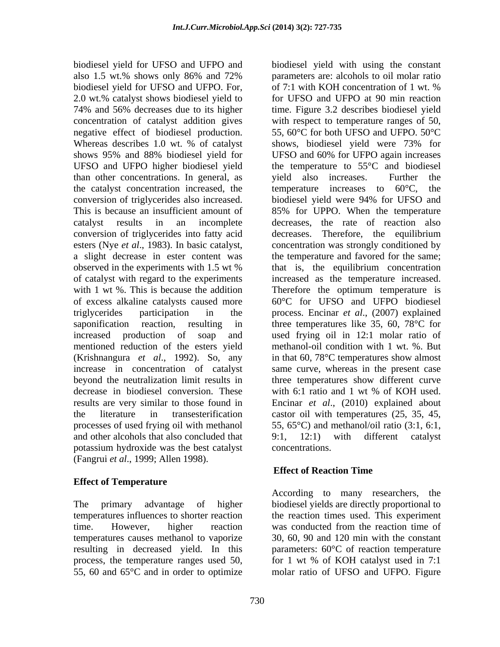biodiesel yield for UFSO and UFPO and biodiesel yield with using the constant biodiesel yield for UFSO and UFPO. For, UFSO and UFPO higher biodiesel yield than other concentrations. In general, as the catalyst concentration increased, the temperature increases to  $60^{\circ}$ C, the conversion of triglycerides also increased. conversion of triglycerides into fatty acid mentioned reduction of the esters yield decrease in biodiesel conversion. These with 6:1 ratio and 1 wt % of KOH used. and other alcohols that also concluded that 9:1, 12:1) with different catalyst potassium hydroxide was the best catalyst (Fangrui *et al*., 1999; Allen 1998).

### **Effect of Temperature**

time. However, higher reaction was conducted from the reaction time of

also 1.5 wt.% shows only 86% and 72% 2.0 wt.% catalyst shows biodiesel yield to for UFSO and UFPO at 90 min reaction 74% and 56% decreases due to its higher time. Figure 3.2 describes biodiesel yield concentration of catalyst addition gives with respect to temperature ranges of 50, negative effect of biodiesel production. 55, 60°C for both UFSO and UFPO. 50°C Whereas describes 1.0 wt. % of catalyst shows, biodiesel yield were 73% for shows 95% and 88% biodiesel yield for UFSO and 60% for UFPO again increases This is because an insufficient amount of 85% for UPPO. When the temperature catalyst results in an incomplete decreases, the rate of reaction also esters (Nye *et al*., 1983). In basic catalyst, concentration was strongly conditioned by a slight decrease in ester content was the temperature and favored for the same; observed in the experiments with 1.5 wt % of catalyst with regard to the experiments increased as the temperature increased. with 1 wt %. This is because the addition Therefore the optimum temperature is of excess alkaline catalysts caused more 60°C for UFSO and UFPO biodiesel triglycerides participation in the process. Encinar *et al*., (2007) explained saponification reaction, resulting in three temperatures like 35, 60, 78°C for increased production of soap and used frying oil in 12:1 molar ratio of (Krishnangura *et al*., 1992). So, any in that 60, 78°C temperatures show almost increase in concentration of catalyst same curve, whereas in the present case beyond the neutralization limit results in three temperatures show different curve results are very similar to those found in Encinar *et al*., (2010) explained about the literature in transesterification castor oil with temperatures (25, 35, 45, processes of used frying oil with methanol 55, 65°C) and methanol/oil ratio (3:1, 6:1, parameters are: alcohols to oil molar ratio of 7:1 with KOH concentration of 1 wt. % shows, biodiesel yield were 73% for UFSO and 60% for UFPO again increases the temperature to 55°C and biodiesel yield also increases. Further the temperature increases to  $60^{\circ}$ C, biodiesel yield were 94% for UFSO and decreases. Therefore, the equilibrium that is, the equilibrium concentration methanol-oil condition with 1 wt. %. But with 6:1 ratio and 1 wt % of KOH used. 9:1, 12:1) with different catalyst concentrations.

### **Effect of Reaction Time**

The primary advantage of higher biodiesel yields are directly proportional to temperatures influences to shorter reaction the reaction times used. This experiment temperatures causes methanol to vaporize 30, 60, 90 and 120 min with the constant resulting in decreased yield. In this parameters: 60°C of reaction temperature process, the temperature ranges used 50, for 1 wt % of KOH catalyst used in 7:1 55, 60 and 65°C and in order to optimize molar ratio of UFSO and UFPO. FigureAccording to many researchers, the was conducted from the reaction time of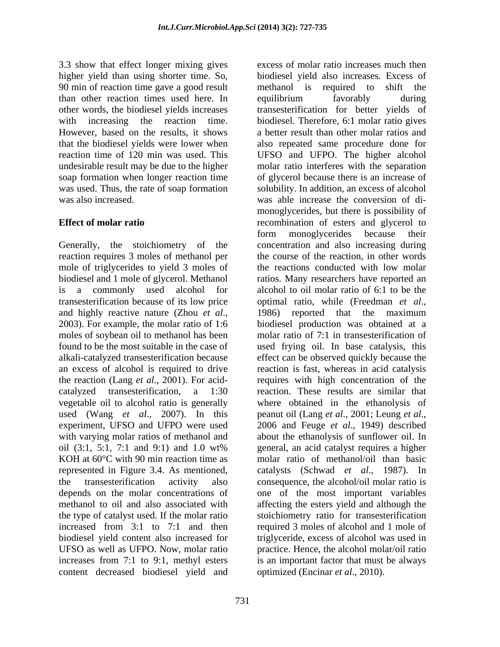3.3 show that effect longer mixing gives higher yield than using shorter time. So, 90 min of reaction time gave a good result methanol is required to shift the than other reaction times used here. In soap formation when longer reaction time

reaction requires 3 moles of methanol per mole of triglycerides to yield 3 moles of transesterification because of its low price optimal ratio, while (Freedman et al., vegetable oil to alcohol ratio is generally<br>used (Wang *et al.*, 2007). In this experiment, UFSO and UFPO were used 2006 and Feuge et al., 1949) described the type of catalyst used. If the molar ratio content decreased biodiesel yield and

731

other words, the biodiesel yields increases transesterification for better yields of with increasing the reaction time. biodiesel. Therefore, 6:1 molar ratio gives<br>However, based on the results, it shows a better result than other molar ratios and that the biodiesel yields were lower when also repeated same procedure done for reaction time of 120 min was used. This UFSO and UFPO. The higher alcohol undesirable result may be due to the higher molar ratio interferes with the separation was used. Thus, the rate of soap formation solubility. In addition, an excess of alcohol was also increased. was able increase the conversion of di- **Effect of molar ratio** recombination of esters and glycerol to Generally, the stoichiometry of the concentration and also increasing during biodiesel and 1 mole of glycerol. Methanol ratios. Many researchers have reported an is a commonly used alcohol for alcohol to oil molar ratio of 6:1 to be the and highly reactive nature (Zhou *et al.*, 1986) reported that the maximum 2003). For example, the molar ratio of 1:6 biodiesel production was obtained at a moles of soybean oil to methanol has been molar ratio of 7:1 in transesterification of found to be the most suitable in the case of used frying oil. In base catalysis, this alkali-catalyzed transesterification because effect can be observed quickly because the an excess of alcohol is required to drive reaction is fast, whereas in acid catalysis the reaction (Lang *et al*., 2001). For acid- requires with high concentration of the catalyzed transesterification, a 1:30 reaction. These results are similar that peanut oil (Lang *et al.*, 2001; Leung *et al.*, with varying molar ratios of methanol and about the ethanolysis of sunflower oil. In oil (3:1, 5:1, 7:1 and 9:1) and 1.0 wt% KOH at 60°C with 90 min reaction time as molar ratio of methanol/oil than basic represented in Figure 3.4. As mentioned, catalysts (Schwad *et al*., 1987). In the transesterification activity also consequence, the alcohol/oil molar ratio is depends on the molar concentrations of one of the most important variables methanol to oil and also associated with affecting the esters yield and although the increased from 3:1 to 7:1 and then required 3 moles of alcohol and 1 mole of biodiesel yield content also increased for triglyceride, excess of alcohol was used in UFSO as well as UFPO. Now, molar ratio practice. Hence, the alcohol molar/oil ratio increases from 7:1 to 9:1, methyl esters is an important factor that must be always excess of molar ratio increases much then biodiesel yield also increases. Excess of methanol is required to shift the equilibrium favorably during biodiesel. Therefore, 6:1 molar ratio gives a better result than other molar ratios and of glycerol because there is an increase of monoglycerides, but there is possibility of form monoglycerides because their the course of the reaction, in other words the reactions conducted with low molar optimal ratio, while (Freedman *et al*., 1986) reported that the maximum biodiesel production was obtained at a where obtained in the ethanolysis of peanut oil (Lang *et al*., 2001; Leung *et al*., 2006 and Feuge *et al*., 1949) described general, an acid catalyst requires a higher stoichiometry ratio for transesterification optimized (Encinar *et al*., 2010).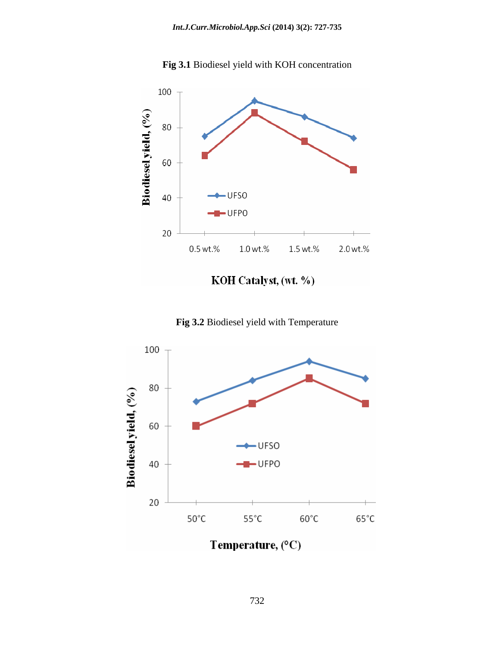

**Fig 3.1** Biodiesel yield with KOH concentration

KOH Catalyst, (wt. %)

**Fig 3.2** Biodiesel yield with Temperature

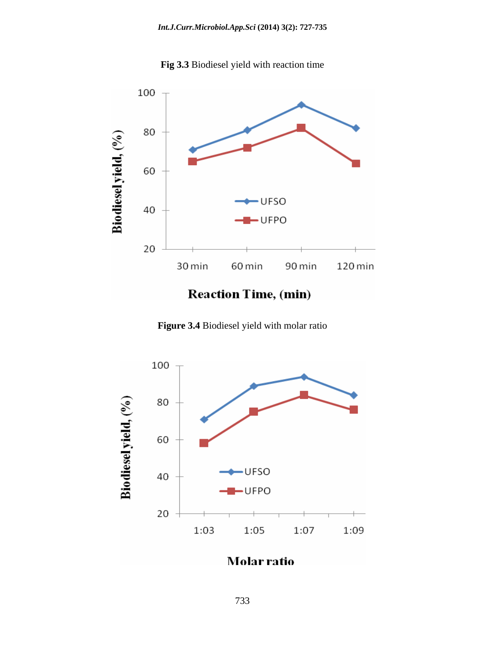



# **Reaction Time, (min)**

**Figure 3.4** Biodiesel yield with molar ratio



# Molar ratio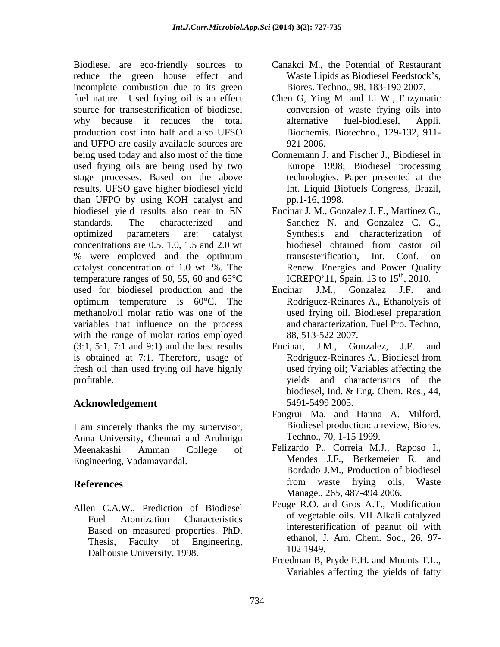Biodiesel are eco-friendly sources to reduce the green house effect and incomplete combustion due to its green fuel nature. Used frying oil is an effect Chen G, Ying M. and Li W., Enzymatic source for transesterification of biodiesel why because it reduces the total alternative fuel-biodiesel, Appli. production cost into half and also UFSO and UFPO are easily available sources are  $921 2006$ . being used today and also most of the time Connemann J. and Fischer J., Biodiesel in used frying oils are being used by two stage processes. Based on the above results, UFSO gave higher biodiesel yield than UFPO by using KOH catalyst and biodiesel yield results also near to EN Encinar J. M., Gonzalez J. F., Martinez G., standards. The characterized and Sanchez N. and Gonzalez C. G., optimized parameters are: catalyst Synthesis and characterization of concentrations are 0.5. 1.0, 1.5 and 2.0 wt % were employed and the optimum transesterification, Int. Conf. on catalyst concentration of 1.0 wt. %. The temperature ranges of 50, 55, 60 and 65°C used for biodiesel production and the Encinar J.M., Gonzalez J.F. and optimum temperature is 60°C. The Rodriguez-Reinares A., Ethanolysis of methanol/oil molar ratio was one of the used frying oil. Biodiesel preparation variables that influence on the process with the range of molar ratios employed  $(3:1, 5:1, 7:1$  and  $(9:1)$  and the best results Encinar, J.M., Gonzalez, J.F. and is obtained at 7:1. Therefore, usage of fresh oil than used frying oil have highly

## **Acknowledgement** 5491-5499 2005.

I am sincerely thanks the my supervisor, Anna University, Chennai and Arulmigu Engineering, Vadamavandal.

Allen C.A.W., Prediction of Biodiesel Based on measured properties. PhD. Thesis, Faculty of Engineering, ethanol, J<br>Delhousie University 1009 1049. Dalhousie University, 1998.

- Canakci M., the Potential of Restaurant Waste Lipids as Biodiesel Feedstock's, Biores. Techno., 98, 183-190 2007.
- conversion of waste frying oils into alternative fuel-biodiesel, Appli. Biochemis. Biotechno., 129-132, 911- 921 2006.
- Europe 1998; Biodiesel processing technologies. Paper presented at the Int. Liquid Biofuels Congress, Brazil, pp.1-16, 1998.
- biodiesel obtained from castor oil transesterification, Int. Conf. Renew. Energies and Power Quality ICREPQ'11, Spain, 13 to  $15^{th}$ , 2010.  $\mathrm{th}$ , 2010.
- Encinar J.M., Gonzalez J.F. and Rodriguez-Reinares A., Ethanolysis of and characterization, Fuel Pro. Techno, 88, 513-522 2007.
- profitable. yields and characteristics of the Encinar, J.M., Gonzalez, J.F. and Rodriguez-Reinares A., Biodiesel from used frying oil; Variables affecting the biodiesel, Ind. & Eng. Chem. Res., 44, 5491-5499 2005.
	- Fangrui Ma. and Hanna A. Milford, Biodiesel production: a review, Biores. Techno., 70, 1-15 1999.
- Meenakashi Amman College of Felizardo P., Correia M.J., Raposo I., **References** from waste frying oils, Waste Mendes J.F., Berkemeier R. and Bordado J.M., Production of biodiesel from waste frying oils, Waste Manage., 265, 487-494 2006.
	- Fuel Atomization Characteristics of vegetable only via Alkan catalyzed Feuge R.O. and Gros A.T., Modification of vegetable oils. VII Alkali catalyzed interesterification of peanut oil with ethanol, J. Am. Chem. Soc., 26, 97- 102 1949.
		- Freedman B, Pryde E.H. and Mounts T.L., Variables affecting the yields of fatty